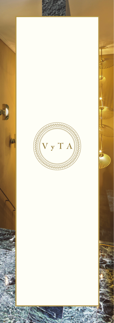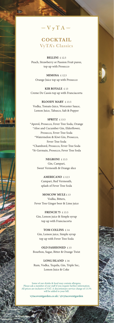

**the** 

# **COCKTAIL** VyTA's Classics

**BELLINI** £ 12.5 Peach, Strawberry or Passion Fruit puree, top up with Prosecco

**MIMOSA** £ 12.5 Orange Juice top up with Prosecco

**KIR ROYALE** £13 Creme De Cassis top up with Franciacorta

**BLOODY MARY** £ 13.5 Vodka, Tomato Juice, Worcester Sauce, Lemon Juice, Tabasco, Salt & Pepper

## **SPRITZ** £ 13.5

\*Aperol, Prosecco, Fever Tree Soda, Orange \*Aloe and Cucumber Gin, Elderflower, Prosecco, Fever Tree Soda \*Watermelon & Kiwi Gin, Prosecco, Fever Tree Soda \*Chambord, Prosecco, Fever Tree Soda \*St-Germain, Prosecco, Fever Tree Soda

> **NEGRONI** £ 13.5 Gin, Campari, Sweet Vermouth & Orange slice

> > **AMERICANO** £ 12.5 Campari, Red Vermouth, splash of Fever Tree Soda

**MOSCOW MULE** £ 13 Vodka, Bitters, Fever Tree Ginger beer & Lime juice

**FRENCH 75** £ 13.5 Gin, Lemon juice & Simple syrup top up with Franciacorta

**TOM COLLINS** £ 14 Gin, Lemon juice, Simple syrup top up with Fever Tree Soda

**OLD FASHIONED** £ 15 Bourbon, Sugar, Bitter & Orange Twist

**LONG ISLAND** £ 16 Rum, Vodka, Tequila, Gin, Triple Sec, Lemon Juice & Coke

Some of our drinks & food may contain allergens. Please ask a member of our staff if you require further information. All prices are inclusive of VAT. A discretionary service charge of 13.5% will be added to your bill.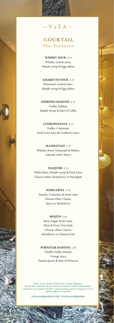$\mathbb{W}$   $V$   $V$   $T$   $A$   $\mathbb{W}$ 

# **COCKTAIL** Our Favourite

**WHISKY SOUR** £ 15 Whisky, Lemon juice, Simple syrup & Egg whites

**AMARETTO SOUR** £ 15 Disaronno, Lemon juice, Simple syrup & Egg whites

**ESPRESSO MARTINI** £ 15 Vodka, Kahlua, Simple Syrup & shot of Coffee

**COSMOPOLITAN** £ 15 Vodka, Cointreau, fresh Lime juice & Cranberry juice

**MANHATTAN** £ 15 Whisky, Sweet Vermouth & Bitters, Garnish with Cherry

**DAIQUIRI** £ 15 White Rum, Simple syrup & fresh Lime Choose either Strawberry or Pineapple

**MARGARITA** £ 15 Tequila, Cointreau & fresh Lime Choose either Classic, Spicy or Strawberry

**MOJITO** £ 16 Rum, Sugar, fresh Lime, Mint & Fever Tree Soda Choose either Classic, Strawberry or Passion fruit

**PORNSTAR MARTINI** £ 16 Vanilla Vodka, Passoã, Orange juice, Passion puree & shot of Prosecco

Some of our drinks & food may contain allergens. Please ask a member of our staff if you require further information. All prices are inclusive of VAT. A discretionary service charge of 13.5% will be added to your bill.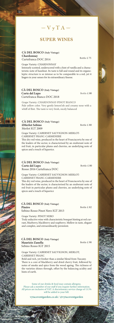$\gg \sqrt{V} \sqrt{T} A$ 

## **SUPER WINES**

**CÀ DEL BOSCO (Italy Vintage) Chardonnay**  Curtefranca DOC 2014

**trad** 

Grape Variety: CHARDONNAY Intensely scented, underscored with a hint of vanilla and a characteristic note of hazelnut. Its taste is full and round and its organoleptic structure is so intense as to be comparable to a red, yet it lingers in your senses for its extraordinary finesse.

#### **CÀ DEL BOSCO (Italy Vintage) Corte del Lupo** Curtefranca Bianco DOC 2018

Grape Variety: CHARDONNAY-PINOT BIANCO Pale yellow color. Very gently lemon'ish and creamy nose with a whiff of flint. The taste is very fresh, nicely balanced

#### **CÀ DEL BOSCO (Italy Vintage) ilMerlot Sebino** Merlot IGT 2009

Grape Variety: CABERNET SAUVIGNON-MERLOT-CABERNET FRANC-CARMENERE This dry red wine, produced in the heart of Franciacorta by one of the leaders of the sector, is characterised by an exuberant note of red fruit, in particular plums and cherries, an underlying note of

#### **CÀ DEL BOSCO (Italy Vintage) Corte del Lupo** Rosso 2016 Curtefranca DOC

spices and a touch of liquorice.

Bottle £ 80

Grape Variety: CABERNET SAUVIGNON-MERLOT-CABERNET FRANC-CARMENERE This dry red wine, produced in the heart of Franciacorta by one of the leaders of the sector, is characterised by an exuberant note of red fruit in particular plums and cherries, an underlying note of

## **CÀ DEL BOSCO (Italy Vintage) Pinéro**

spices and a touch of liquorice

Sebino Rosso Pinot Nero IGT 2013

Grape Variety: PINOT NERO Truly seductive wine with characteristic bouquet hinting at red currant, blueberry, blackberry and raspberry. Mellow in taste, elegant and complex, and extraordinarily persistent.

#### **CÀ DEL BOSCO (Italy Vintage) Maurizio Zanella** Sebino Rosso IGT 2015

 $BoHole$  £ 90

Bottle £ 82

Grape Variety: CABERNET SAUVIGNON, MERLOT, CABERNET FRANC

Bold and rich, yet fresher than a similar blend from Tuscany. There is a core of blackberry and dried cherry fruit, followed by notes of smoke and spice from the wood ageing. The richness of the varieties shines through, offset by the balancing acidity and hints of earth.

Some of our drinks & food may contain allergens. Please ask a member of our staff if you require further information. All prices are inclusive of VAT. A discretionary service charge of 13.5% will be added to your bill.

**vytacoventgarden.co.uk / @vytacoventgarden**

Bottle £ 75

Bottle £ 80

Bottle £ 80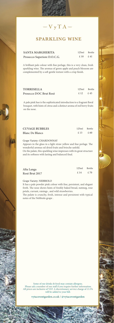

# **SPARKLING WINE**

| <b>SANTA MARGHERITA</b>     | 125ml | Bottle |
|-----------------------------|-------|--------|
| Prosecco Superiore D.O.C.G. | £ 10  | f. 41  |

A brilliant pale colour with fine perlage, this is a very clean, fresh sparkling wine. The aromas of green apple and peach blossom are complemented by a soft gentle texture with a crisp finish.

| <b>TORRESELLA</b>      | 125ml | Bottle |
|------------------------|-------|--------|
| Prosecco DOC Brut Rosè | f. 12 | £45    |

A pale pink hue is the sophisticated introduction to a fragrant floral bouquet, with hints of citrus and a distinct aroma of red berry fruits on the nose.

| <b>CUVAGE BUBBLES</b>  | 125ml | Bottle |
|------------------------|-------|--------|
| <b>Blanc De Blancs</b> | £ 13  | £60    |

## Grape Variety: CHARDONNAY

Appears in the glass in a light straw yellow and fine perlage. The wonderful aromas od dried fruits and brioche unfold.

On the palate, this sparkling wine impresses with its great structure and its softness with lasting and balanced final.

| Alta Langa     | 125ml | Bottle |
|----------------|-------|--------|
| Rosè Brut 2017 | £ 14  | f. 70  |

#### Grape Variety: NEBBIOLO

It has a pale powder pink colour with fine, persistent, and elegant froth. The nose shows hints of freshly baked bread, nutmeg, rose petals, currant, raisings , and wild strawberries.

The palate is crunchy, fresh, intense and persistent with typical notes of the Nebbiolo grape .

Some of our drinks & food may contain allergens. Please ask a member of our staff if you require further information. All prices are inclusive of VAT. A discretionary service charge of 13.5% will be added to your bill.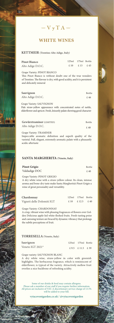$\mathbb{W}$   $\mathbf{V}$   $\mathbf{v}$   $\mathbf{T}$   $\mathbf{A}$  and

## **WHITE WINES**

**KETTMEIR (Trentino Alto Adige, Italy)**

| <b>Pinot Bianco</b> |      | 125ml 175ml Bottle |  |
|---------------------|------|--------------------|--|
| Alto Adige D.O.C.   | £ 10 | £13 £43            |  |

Grape Variety: PINOT BIANCO

**Fra** 

This Pinot Bianco is without doubt one of the true wonders of Trentino. The flavour is dry, with good acidity, and it is persistent and delicately mineral

| Sauvignon         | Bottle |
|-------------------|--------|
| Alto Adige D.O.C. | £ 46   |

Grape Variety: SAUVIGNON Pale straw-yellow appearance with concentrated notes of nettle, elderflower and apricot. Fresh, leisurely palate showing good character

| Gewürztraminer (LIMITED) | Bottle |
|--------------------------|--------|
| Alto Adige D.O.C.        | £.48   |

Grape Variety: TRAMINER Impeccable aromatic definition and superb quality of the varietal. Full, elegant, extremely aromatic palate with a pleasantly acidic aftertaste

## **SANTA MARGHERITA (Veneto, Italy)**

| <b>Pinot Grigio</b> | Bottle |
|---------------------|--------|
| Valdadige DOC       | £ 40   |

Grape Variety: PINOT GRIGIO A dry white wine with a straw-yellow colour. Its clean, intense aroma and bone-dry taste make Santa Margherita's Pinot Grigio a wine of great personality and versatility.

| Chardonnay                 | 125ml 175ml Bottle |  |
|----------------------------|--------------------|--|
| Vigneti delle Dolomiti IGT | £ 10 £ 12.5 £ 40   |  |

Grape Variety: CHARDONNAY

A crisp, vibrant wine with pleasing fragrances of flowers over Golden Delicious apple-led white-fleshed fruits. Fresh-tasting poise and caressing texture are braced by dynamic vibrancy that prolongs the subtle perceptions of fruit.

### **TORRESELLA (Veneto, Italy)**

| Sauvignon        | 125ml 175ml Bottle |  |
|------------------|--------------------|--|
| Veneto IGT 2021* | £9.5 £11.5 £39     |  |

#### Grape variety: SAUVIGNON BLANC

A dry white wine, straw-yellow in color with greenish highlights. The herbaceous fragrance, which is reminiscent of elderflower, is typical of the variety. Attractively mellow fruit overlies a nice backbone of refreshing acidity.

Some of our drinks & food may contain allergens.<br> $\cdots$  derived require further information Please ask a member of our staff if you require further information. All prices are inclusive of VAT. A discretionary service charge of 13.5% will be added to your bill.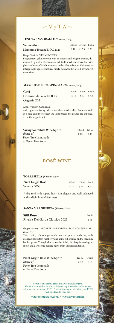$\mathbb{W}$   $V$   $V$   $T$   $A$   $\mathbb{W}$ 

## **TENUTA SASSORAGLE (Toscana, Italy)**

#### **Vermentino**

Maremma Toscana DOC 2021

 125ml 175ml Bottle £ 10 £ 12.5 £ 39

Grape Variety: VERMENTINO

Bright straw-yellow colour with an intense and elegant aromas, dominated by notes of citrus and white-fleshed fruit, threaded with pleasant hints of Mediterranean herbs. The palate unfolds over an intriguingly agile structure, nicely balanced by a well-structured savouriness.

#### **MARCHESE LUCA SPINOLA (Piedmont, Italy)**

| Gavi                | 125ml 175ml Bottle |  |
|---------------------|--------------------|--|
| Comune di Gavi DOCG | £ 11 $f$ 13 $f$ 42 |  |
| Organic 2021        |                    |  |

Grape Variety: CORTESE

resh, light and fruity, with a well-balanced acidity. Presents itself in a pale colour to reflect the light breeze the grapes are exposed to on the organic soil.

| <b>Sauvignon White Wine Spritz</b> | 125ml 175ml |     |
|------------------------------------|-------------|-----|
| choice of                          | f. 12       | £15 |
| Fever Tree Lemonade                |             |     |
| or Fever Tree Soda                 |             |     |

# **ROSÈ WINE**

#### **TORRESELLA (Veneto, Italy)**

| Pinot Grigio Rosé |  |
|-------------------|--|
| Venezia DOC       |  |

| 125ml | 175ml | Bottle |
|-------|-------|--------|
| £ 11  | £ 13  | f.41   |

A dry rosé with superb hues, it is elegant and well-balanced with a slight hint of fruitiness

### **SANTA MARGHERITA (Veneto, Italy)**

| <b>Still Rose</b>               | Bottle |
|---------------------------------|--------|
| Riveira Del Garda Classico 2021 | £ 45   |

Grape Variety: GROPPELLO-BARBERA-SANGIOVESE-MAR-ZEMINO

This is still, pale orange-peach hue, and pretty much dry, with orange, pear butter, raspberry and a fine riff of spice on the medium bodied palate. Though shorter on the finish, this is quite an elegant show, and a welcome mature move from this classic Italian.

| <b>Pinot Grigio Rose Wine Spritz</b> |      | 125ml 175ml |
|--------------------------------------|------|-------------|
| choice of                            | £.12 | f. 16       |
| Fever Tree Lemonade                  |      |             |
| or Fever Tree Soda                   |      |             |

Some of our drinks & food may contain allergens. Please ask a member of our staff if you require further information. All prices are inclusive of VAT. A discretionary service charge of 13.5% will be added to your bill.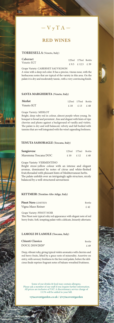$\gg \sim$   $\sqrt{V} \sqrt{T} A$  and

# **RED WINES**

### **TORRESELLA (Veneto, Italy)**

**Emp** 

| Cabernet   | 125ml 175ml Bottle |  |
|------------|--------------------|--|
| Veneto IGT | £9.5 £12.5 £39     |  |

Grape Variety: CABERNET SAUVIGNON A wine with a deep red color. It has a precise, vinous nose, with the herbaceous notes that are typical of the variety in this area. On the palate it is dry and moderately tannic, with a very convincing finish.

## **SANTA MARGHERITA (Veneto, Italy)**

| Merlot     |      | 125ml 175ml Bottle |  |
|------------|------|--------------------|--|
| Veneto IGT | f.10 | £ 13 £ 40          |  |

### Grape Variety: MERLOT

Bright, deep ruby red in colour, almost purple when young. Its bouquet is broad and persistent , fine and elegant with hints of ripe cherries and plums against a background of vanilla and violets. The palate is dry and well balanced, velvety and full bodied with tannins that are well integrated with the wine's appealing freshness.

### **TENUTA SASSORAGLE (Toscana, Italy)**

| Sangiovese          |      | 125ml 175ml Bottle |      |
|---------------------|------|--------------------|------|
| Maremma Toscana DOC | £.10 | f.12               | £.40 |

#### Grape Variety: VERMENTINO

Bright straw-yellow colour with an intense and elegant aromas, dominated by notes of citrus and white-fleshed fruit,threaded with pleasant hints of Mediterranean herbs. The palate unfolds over an intriguingly agile structure, nicely balanced by a well-structured savouriness

### **KETTMEIR (Trentino Alto Adige, Italy)**

| <b>Pinot Nero (LIMITED)</b> | Bottle |
|-----------------------------|--------|
| Vigna Maso Reiner           | £.42   |

Grape Variety: PINOT NOIR This Pinot noir typical ruby red appearance with elegant note of red berry fruits. Soft, tempting palate with a delicate, leisurely aftertaste.

## **LAMOLE DI LAMOLE (Toscana, Italy)**

| Chianti Classico | Bottle |
|------------------|--------|
| DOCG 2019/2020*  | £ 49   |

Deep, vibrant ruby, giving typical violets aromatics with cherries and red berry fruits, lifted by a grace note of minerality. Assertive on entry, with savoury freshness to the fore mid palate, before the delicious finale reprises fragrant notes of balsam-wreathed fruitiness.

Some of our drinks & food may contain allergens. Please ask a member of our staff if you require further information. All prices are inclusive of VAT. A discretionary service charge of 13.5% will be added to your bill.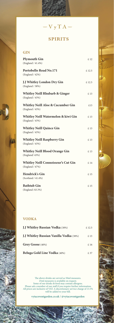# ww  $\overline{V}$   $\overline{y}$   $\overline{T}$   $\overline{A}$  and

# **SPIRITS**

# **GIN**

| <b>Plymouth Gin</b><br>(England / 41.4%)                        | £ 12  |
|-----------------------------------------------------------------|-------|
| Portobello Road No.171<br>(England / 42%)                       | £12.5 |
| J.J Whitley London Dry Gin<br>(England / 38%)                   | £12.5 |
| <b>Whitley Neill Rhubarb &amp; Ginger</b><br>(England / 43%)    | £ 13  |
| <b>Whitley Neill Aloe &amp; Cucumber Gin</b><br>(England / 43%) | £13   |
| Whitley Neill Watermelon & kiwi Gin<br>(England / 43%)          | £13   |
| <b>Whitley Neill Quince Gin</b><br>(England / 43%)              | £ 13  |
| <b>Whitley Neill Raspberry Gin</b><br>(England / 43%)           | £13   |
| <b>Whitley Neill Blood Orange Gin</b><br>(England/ 43%)         | £ 13  |
| <b>Whitley Neill Connoisseur's Cut Gin</b><br>(England / 47%)   | £ 14  |
| Hendrick's Gin<br>(Scotland / 41.4%)                            | £15   |
| <b>Bathtub Gin</b><br>(England /43.3%)                          | £ 15  |

## **VODKA**

| <b>I.J Whitley Russian Vodka</b> (38%)         | £12.5 |
|------------------------------------------------|-------|
| <b>I.I Whitley Russian Vanilla Vodka</b> (38%) | £ 13  |
| Grey Goose (40%)                               | £16   |
| Beluga Gold Line Vodka (40%)                   | £ 37  |

The above drinks are served as 50ml measures.<br>
25ml measures is available on request.<br>
Some of our drinks & food may contain allergens.<br>
Please ask a member of our staff if you require further information.<br>
All prices are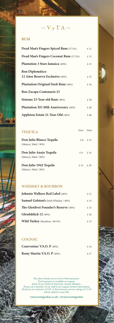## **RUM**

a

| Dead Man's Fingers Spiced Rum (37.5%)   | £ 11 |
|-----------------------------------------|------|
| Dead Man's Fingers Coconut Rum (37.5%)  | £13  |
| <b>Plantation 3 Stars Jamaica</b> (40%) | £ 13 |
| <b>Ron Diplomático</b>                  |      |
| 12 Años Reserva Exclusiva (40%)         | £ 15 |
| Plantation Original Dark Rum (40%)      | £ 16 |
| <b>Ron Zacapa Centenario 23</b>         |      |
| <b>Sistema 23-Year-old Rum</b> (40%)    | £18  |
| Plantation XO 20th Anniversary (40%)    | £ 20 |
| Appleton Estate 21-Year-Old (40%)       | £48  |

 $\ggl$   $V$   $y$   $T$   $A$   $\lll$ 

| <b>TEQUILA</b>                                   | 25ml | 50 <sub>m1</sub> |
|--------------------------------------------------|------|------------------|
| Don Julio Blanco Tequila<br>(Mexico, 50ml / 38%) |      | £.8 £.13         |
| Don Julio Anejo Tequila<br>(Mexico, 50ml / 38%)  | f.9  | £.14             |
| Don Julio 1942 Tequila<br>(Mexico, 50ml / 38%)   | f.15 | £.29             |

## **WHISHKY & BOURBON**

| <b>Johnnie Walkers Red Label (40%)</b>       | £ 11 |
|----------------------------------------------|------|
| Samuel Gelston's (Irish Whiskey / 40%)       | £13  |
| <b>The Glenlivet Founder's Reserve (40%)</b> | £15  |
| Glenfiddich $12$ (40%)                       | £ 16 |
| Wild Turkey (Bourbon / 40.5%)                | £ 13 |

## **COGNAC**

| Courvoisier V.S.O. $P$ (40%) | £ 14 |
|------------------------------|------|
| Remy Martin V.S.O. $P$ (40%) | f.17 |

The above drinks are served as 50ml measures.<br>
25ml measures is available on request.<br>
Some of our drinks & food may contain allergens.<br>
Please ask a member of our staff if you require further information.<br>
All prices are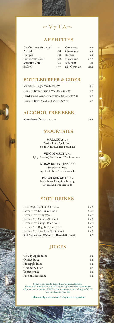# $\mathbb{W}$   $V$   $y$   $T A$   $\mathbb{W}$

# **APERITIFS**

| Cocchi Sweet Vermouth | f. 7  | Cointreau   | £9    |
|-----------------------|-------|-------------|-------|
| Aperol                | £8    | Chambord    | £9    |
| Campari               | £8    | Kahlua      | £9    |
| Limoncello 25ml       | f.8   | Disaronno   | £9.5  |
| Sambuca 25ml          | £8    | Jefferson   | £10   |
| Bailey's              | £ 8.5 | ST- Germain | £10.5 |

## **BOTTLED BEER & CIDER**

| Menabrea Lager 330ml 4.8% ABV                | f. 7 |
|----------------------------------------------|------|
| Curious Brew Session 330ml IPA 4.4% ABV      | f. 7 |
| Hawkshead Windermere 330ml Pale Ale ABV 3.5% | f. 7 |
| Curious Brew 330ml Apple Cider ABV 5.2%      | f. 7 |

## **ALCOHOL FREE BEER**

Menabrea Zero 330ml 0.0% £ 6.5

# **MOCKTAILS**

**MARACUJA** £ 9

Passion Fruit, Apple Juice, top up with Fever Tree Lemonade

**VIRGIN MARY** £ 7.5 Spicy, Tomato juice, Lemon, Worchester sauce

> **STRAWBERRY FIZZ** £ 7.5 Strawberry, Lime, top of with Fever Tree Lemonade

**PEACH DELIGHT** £7.5 Peach Puree, Lime, Simple syrup, Grenadine, Fever Tree Soda

## **SOFT DRINKS**

| Coke 200ml / Diet Coke 200ml                | £4.5 |
|---------------------------------------------|------|
| Fever - Tree Lemonade 200ml                 | £4.5 |
| Fever - Tree Soda 200ml                     | £4.5 |
| Fever - Tree Ginger Ale 200ml               | £4.5 |
| Fever - Tree Ginger Beer 200ml              | £4.5 |
| Fever - Tree Regular Tonic 200ml            | £4.5 |
| Fever - Tree Slim Line Tonic 200ml          | £4.5 |
| Still / Sparkling Water San Benedetto 750ml | £5   |
|                                             |      |

## **JUICES**

| Cloudy Apple Juice  | £5 |
|---------------------|----|
| Orange Juice        | £5 |
| Pineapple Juice     | £5 |
| Cranberry Juice     | £5 |
| Tomato juice        | £5 |
| Passion Fruit Juice | £5 |

Some of our drinks & food may contain allergens. Please ask a member of our staff if you require further information. All prices are inclusive of VAT. A discretionary service charge of 13.5% will be added to your bill.